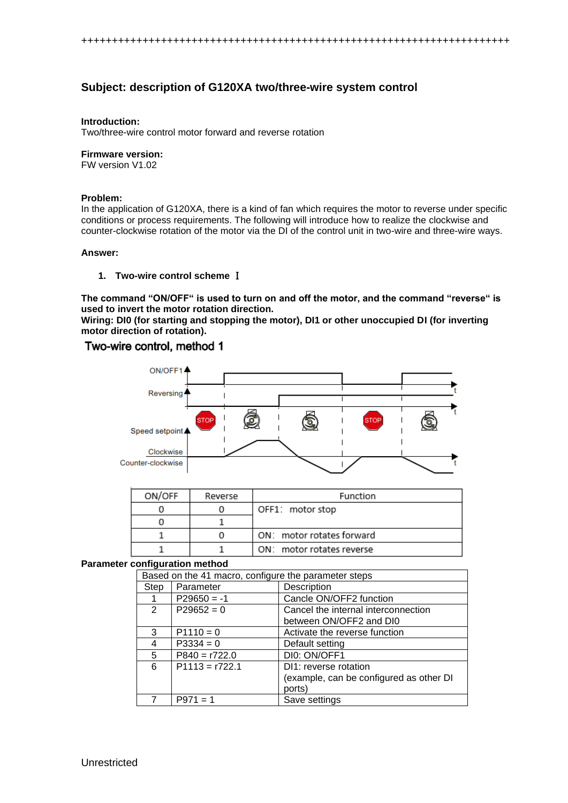# **Subject: description of G120XA two/three-wire system control**

### **Introduction:**

Two/three-wire control motor forward and reverse rotation

## **Firmware version:**

FW version V1.02

### **Problem:**

In the application of G120XA, there is a kind of fan which requires the motor to reverse under specific conditions or process requirements. The following will introduce how to realize the clockwise and counter-clockwise rotation of the motor via the DI of the control unit in two-wire and three-wire ways.

#### **Answer:**

### **1. Two-wire control scheme** Ⅰ

**The command "ON/OFF" is used to turn on and off the motor, and the command "reverse" is used to invert the motor rotation direction.** 

**Wiring: DI0 (for starting and stopping the motor), DI1 or other unoccupied DI (for inverting motor direction of rotation).**

## Two-wire control, method 1



| ON/OFF | Reverse | Function                  |
|--------|---------|---------------------------|
|        |         | OFF1: motor stop          |
|        |         |                           |
|        |         | ON: motor rotates forward |
|        |         | ON: motor rotates reverse |

### **Parameter configuration method**

|      | Based on the 41 macro, configure the parameter steps |                                         |  |
|------|------------------------------------------------------|-----------------------------------------|--|
| Step | Parameter                                            | Description                             |  |
|      | $P29650 = -1$                                        | Cancle ON/OFF2 function                 |  |
| 2    | $P29652 = 0$                                         | Cancel the internal interconnection     |  |
|      |                                                      | between ON/OFF2 and DI0                 |  |
| 3    | $P1110 = 0$                                          | Activate the reverse function           |  |
| 4    | $P3334 = 0$                                          | Default setting                         |  |
| 5    | $P840 = r722.0$                                      | DI0: ON/OFF1                            |  |
| 6    | $P1113 = r722.1$                                     | DI1: reverse rotation                   |  |
|      |                                                      | (example, can be configured as other DI |  |
|      |                                                      | ports)                                  |  |
|      | P971                                                 | Save settings                           |  |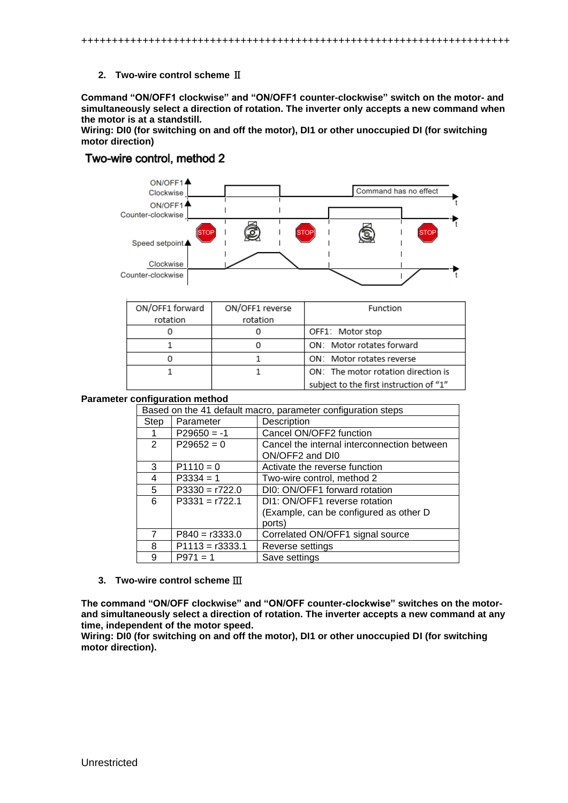++++++++++++++++++++++++++++++++++++++++++++++++++++++++++++++++++++++

## **2. Two-wire control scheme** Ⅱ

**Command "ON/OFF1 clockwise" and "ON/OFF1 counter-clockwise" switch on the motor- and simultaneously select a direction of rotation. The inverter only accepts a new command when the motor is at a standstill.**

**Wiring: DI0 (for switching on and off the motor), DI1 or other unoccupied DI (for switching motor direction)**

# Two-wire control, method 2



| ON/OFF1 forward | ON/OFF1 reverse | Function                                |
|-----------------|-----------------|-----------------------------------------|
| rotation        | rotation        |                                         |
|                 |                 | OFF1: Motor stop                        |
|                 |                 | ON: Motor rotates forward               |
|                 |                 | ON: Motor rotates reverse               |
|                 |                 | ON: The motor rotation direction is     |
|                 |                 | subject to the first instruction of "1" |

### **Parameter configuration method**

|      | Based on the 41 default macro, parameter configuration steps |                                                                |  |
|------|--------------------------------------------------------------|----------------------------------------------------------------|--|
| Step | Parameter                                                    | Description                                                    |  |
|      | $P29650 = -1$                                                | Cancel ON/OFF2 function                                        |  |
| 2    | $P29652 = 0$                                                 | Cancel the internal interconnection between<br>ON/OFF2 and DI0 |  |
| 3    | $P1110 = 0$                                                  | Activate the reverse function                                  |  |
| 4    | $P3334 = 1$                                                  | Two-wire control, method 2                                     |  |
| 5    | $P3330 = r722.0$                                             | DI0: ON/OFF1 forward rotation                                  |  |
| 6    | $P3331 = r722.1$                                             | DI1: ON/OFF1 reverse rotation                                  |  |
|      |                                                              | (Example, can be configured as other D                         |  |
|      |                                                              | ports)                                                         |  |
| 7    | $P840 = r3333.0$                                             | Correlated ON/OFF1 signal source                               |  |
| 8    | $P1113 = r3333.1$                                            | Reverse settings                                               |  |
| 9    | $P971 = 1$                                                   | Save settings                                                  |  |

### **3. Two-wire control scheme** Ⅲ

**The command "ON/OFF clockwise" and "ON/OFF counter-clockwise" switches on the motorand simultaneously select a direction of rotation. The inverter accepts a new command at any time, independent of the motor speed.**

**Wiring: DI0 (for switching on and off the motor), DI1 or other unoccupied DI (for switching motor direction).**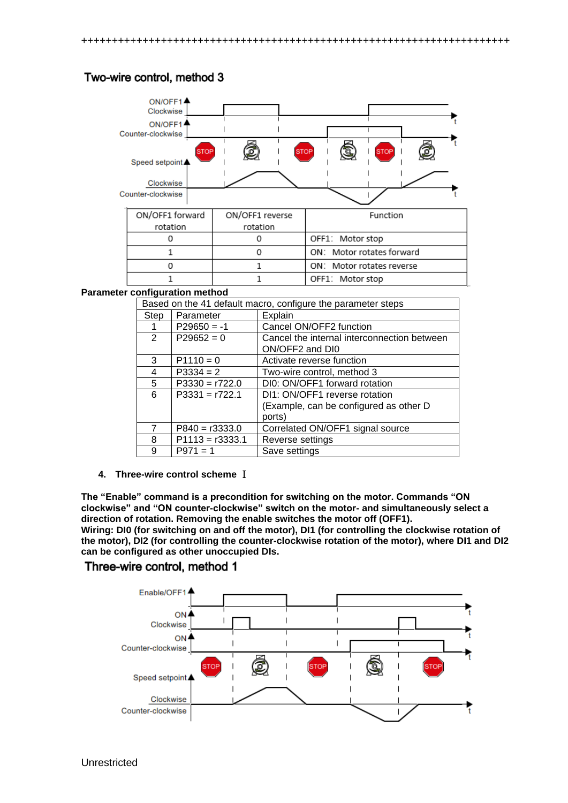# Two-wire control, method 3



| ON/OFF1 forward | ON/OFF1 reverse | Function                  |
|-----------------|-----------------|---------------------------|
| rotation        | rotation        |                           |
|                 |                 | OFF1: Motor stop          |
|                 |                 | ON: Motor rotates forward |
|                 |                 | ON: Motor rotates reverse |
|                 |                 | OFF1: Motor stop          |

### **Parameter configuration method**

| Based on the 41 default macro, configure the parameter steps |                |                   |                                             |
|--------------------------------------------------------------|----------------|-------------------|---------------------------------------------|
|                                                              | Step           | Parameter         | Explain                                     |
|                                                              | 1              | $P29650 = -1$     | Cancel ON/OFF2 function                     |
|                                                              | $\overline{2}$ | $P29652 = 0$      | Cancel the internal interconnection between |
|                                                              |                |                   | ON/OFF2 and DI0                             |
|                                                              | 3              | $P1110 = 0$       | Activate reverse function                   |
|                                                              | 4              | $P3334 = 2$       | Two-wire control, method 3                  |
|                                                              | 5              | $P3330 = r722.0$  | DI0: ON/OFF1 forward rotation               |
|                                                              | 6              | $P3331 = r722.1$  | DI1: ON/OFF1 reverse rotation               |
|                                                              |                |                   | (Example, can be configured as other D      |
|                                                              |                |                   | ports)                                      |
|                                                              | $\overline{7}$ | $P840 = r3333.0$  | Correlated ON/OFF1 signal source            |
|                                                              | 8              | $P1113 = r3333.1$ | Reverse settings                            |
|                                                              | 9              | $P971 = 1$        | Save settings                               |

**4. Three-wire control scheme** Ⅰ

**The "Enable" command is a precondition for switching on the motor. Commands "ON clockwise" and "ON counter-clockwise" switch on the motor- and simultaneously select a direction of rotation. Removing the enable switches the motor off (OFF1). Wiring: DI0 (for switching on and off the motor), DI1 (for controlling the clockwise rotation of the motor), DI2 (for controlling the counter-clockwise rotation of the motor), where DI1 and DI2 can be configured as other unoccupied DIs.**

# Three-wire control, method 1

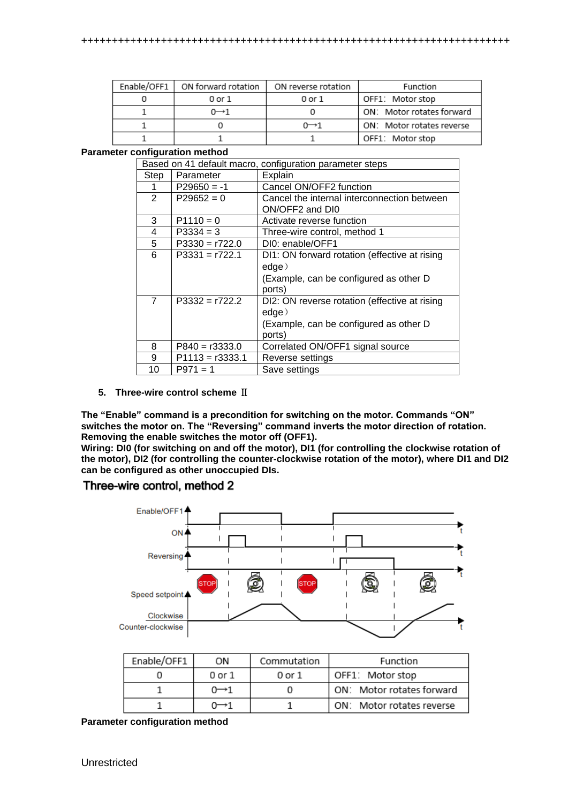| Enable/OFF1 | ON forward rotation | ON reverse rotation | Function                  |
|-------------|---------------------|---------------------|---------------------------|
|             | 0 or 1              | 0 or 1              | OFF1: Motor stop          |
|             | $0 \rightarrow 1$   |                     | ON: Motor rotates forward |
|             |                     | $0 \rightarrow 1$   | ON: Motor rotates reverse |
|             |                     |                     | OFF1: Motor stop          |

### **Parameter configuration method**

|                | Based on 41 default macro, configuration parameter steps |                                                                                                            |  |
|----------------|----------------------------------------------------------|------------------------------------------------------------------------------------------------------------|--|
| Step           | Parameter                                                | Explain                                                                                                    |  |
|                | $P29650 = -1$                                            | Cancel ON/OFF2 function                                                                                    |  |
| $\mathcal{P}$  | $P29652 = 0$                                             | Cancel the internal interconnection between<br>ON/OFF2 and DI0                                             |  |
| 3              | $P1110 = 0$                                              | Activate reverse function                                                                                  |  |
| 4              | $P3334 = 3$                                              | Three-wire control, method 1                                                                               |  |
| 5              | $P3330 = r722.0$                                         | DI0: enable/OFF1                                                                                           |  |
| 6              | $P3331 = r722.1$                                         | DI1: ON forward rotation (effective at rising<br>edge)<br>(Example, can be configured as other D<br>ports) |  |
| $\overline{7}$ | $P3332 = r722.2$                                         | DI2: ON reverse rotation (effective at rising<br>edge)<br>(Example, can be configured as other D<br>ports) |  |
| 8              | $P840 = r3333.0$                                         | Correlated ON/OFF1 signal source                                                                           |  |
| 9              | $P1113 = r3333.1$                                        | Reverse settings                                                                                           |  |
| 10             | $P971 = 1$                                               | Save settings                                                                                              |  |

## **5. Three-wire control scheme** Ⅱ

**The "Enable" command is a precondition for switching on the motor. Commands "ON" switches the motor on. The "Reversing" command inverts the motor direction of rotation. Removing the enable switches the motor off (OFF1).**

**Wiring: DI0 (for switching on and off the motor), DI1 (for controlling the clockwise rotation of the motor), DI2 (for controlling the counter-clockwise rotation of the motor), where DI1 and DI2 can be configured as other unoccupied DIs.**

## Three-wire control, method 2



| Enable/OFF1 | ON                | Commutation | Function                  |
|-------------|-------------------|-------------|---------------------------|
|             | 0 or 1            | 0 or 1      | OFF1: Motor stop          |
|             | $0 \rightarrow 1$ |             | ON: Motor rotates forward |
|             |                   |             | ON: Motor rotates reverse |

**Parameter configuration method**